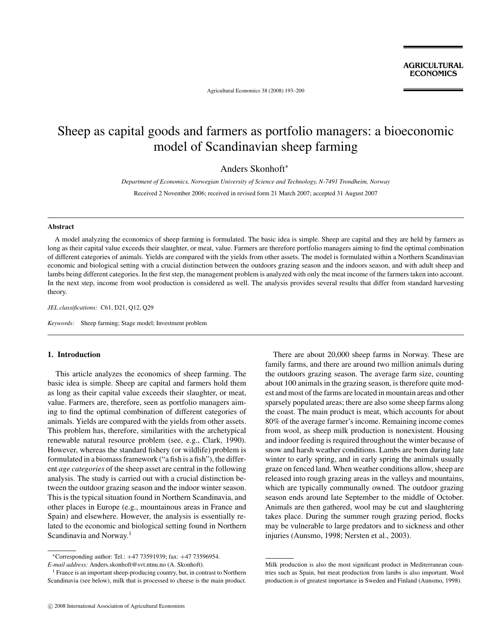Agricultural Economics 38 (2008) 193–200

# Sheep as capital goods and farmers as portfolio managers: a bioeconomic model of Scandinavian sheep farming

Anders Skonhoft<sup>∗</sup>

*Department of Economics, Norwegian University of Science and Technology, N-7491 Trondheim, Norway*

Received 2 November 2006; received in revised form 21 March 2007; accepted 31 August 2007

#### **Abstract**

A model analyzing the economics of sheep farming is formulated. The basic idea is simple. Sheep are capital and they are held by farmers as long as their capital value exceeds their slaughter, or meat, value. Farmers are therefore portfolio managers aiming to find the optimal combination of different categories of animals. Yields are compared with the yields from other assets. The model is formulated within a Northern Scandinavian economic and biological setting with a crucial distinction between the outdoors grazing season and the indoors season, and with adult sheep and lambs being different categories. In the first step, the management problem is analyzed with only the meat income of the farmers taken into account. In the next step, income from wool production is considered as well. The analysis provides several results that differ from standard harvesting theory.

*JEL classifications:* C61, D21, Q12, Q29

*Keywords:* Sheep farming; Stage model; Investment problem

# **1. Introduction**

This article analyzes the economics of sheep farming. The basic idea is simple. Sheep are capital and farmers hold them as long as their capital value exceeds their slaughter, or meat, value. Farmers are, therefore, seen as portfolio managers aiming to find the optimal combination of different categories of animals. Yields are compared with the yields from other assets. This problem has, therefore, similarities with the archetypical renewable natural resource problem (see, e.g., Clark, 1990). However, whereas the standard fishery (or wildlife) problem is formulated in a biomass framework ("a fish is a fish"), the different *age categories* of the sheep asset are central in the following analysis. The study is carried out with a crucial distinction between the outdoor grazing season and the indoor winter season. This is the typical situation found in Northern Scandinavia, and other places in Europe (e.g., mountainous areas in France and Spain) and elsewhere. However, the analysis is essentially related to the economic and biological setting found in Northern Scandinavia and Norway.<sup>1</sup>

*E-mail address:* Anders.skonhoft@svt.ntnu.no (A. Skonhoft).

There are about 20,000 sheep farms in Norway. These are family farms, and there are around two million animals during the outdoors grazing season. The average farm size, counting about 100 animals in the grazing season, is therefore quite modest and most of the farms are located in mountain areas and other sparsely populated areas; there are also some sheep farms along the coast. The main product is meat, which accounts for about 80% of the average farmer's income. Remaining income comes from wool, as sheep milk production is nonexistent. Housing and indoor feeding is required throughout the winter because of snow and harsh weather conditions. Lambs are born during late winter to early spring, and in early spring the animals usually graze on fenced land. When weather conditions allow, sheep are released into rough grazing areas in the valleys and mountains, which are typically communally owned. The outdoor grazing season ends around late September to the middle of October. Animals are then gathered, wool may be cut and slaughtering takes place. During the summer rough grazing period, flocks may be vulnerable to large predators and to sickness and other injuries (Aunsmo, 1998; Nersten et al., 2003).

<sup>∗</sup>Corresponding author: Tel.: +47 73591939; fax: +47 73596954.

 $<sup>1</sup>$  France is an important sheep-producing country, but, in contrast to Northern</sup> Scandinavia (see below), milk that is processed to cheese is the main product.

Milk production is also the most significant product in Mediterranean countries such as Spain, but meat production from lambs is also important. Wool production is of greatest importance in Sweden and Finland (Aunsmo, 1998).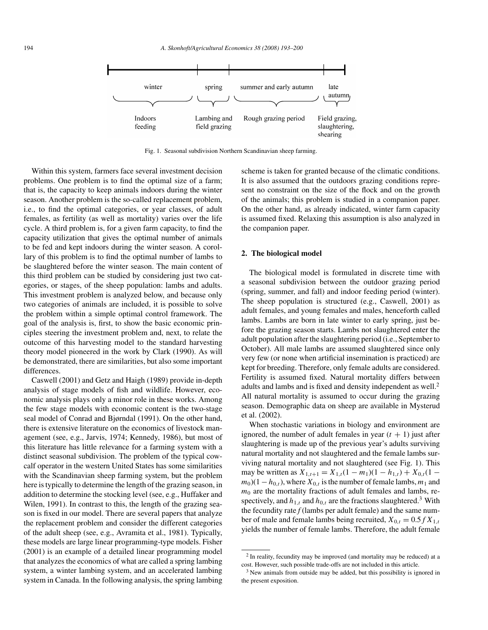

Fig. 1. Seasonal subdivision Northern Scandinavian sheep farming.

Within this system, farmers face several investment decision problems. One problem is to find the optimal size of a farm; that is, the capacity to keep animals indoors during the winter season. Another problem is the so-called replacement problem, i.e., to find the optimal categories, or year classes, of adult females, as fertility (as well as mortality) varies over the life cycle. A third problem is, for a given farm capacity, to find the capacity utilization that gives the optimal number of animals to be fed and kept indoors during the winter season. A corollary of this problem is to find the optimal number of lambs to be slaughtered before the winter season. The main content of this third problem can be studied by considering just two categories, or stages, of the sheep population: lambs and adults. This investment problem is analyzed below, and because only two categories of animals are included, it is possible to solve the problem within a simple optimal control framework. The goal of the analysis is, first, to show the basic economic principles steering the investment problem and, next, to relate the outcome of this harvesting model to the standard harvesting theory model pioneered in the work by Clark (1990). As will be demonstrated, there are similarities, but also some important differences.

Caswell (2001) and Getz and Haigh (1989) provide in-depth analysis of stage models of fish and wildlife. However, economic analysis plays only a minor role in these works. Among the few stage models with economic content is the two-stage seal model of Conrad and Bjørndal (1991). On the other hand, there is extensive literature on the economics of livestock management (see, e.g., Jarvis, 1974; Kennedy, 1986), but most of this literature has little relevance for a farming system with a distinct seasonal subdivision. The problem of the typical cowcalf operator in the western United States has some similarities with the Scandinavian sheep farming system, but the problem here is typically to determine the length of the grazing season, in addition to determine the stocking level (see, e.g., Huffaker and Wilen, 1991). In contrast to this, the length of the grazing season is fixed in our model. There are several papers that analyze the replacement problem and consider the different categories of the adult sheep (see, e.g., Avramita et al., 1981). Typically, these models are large linear programming-type models. Fisher (2001) is an example of a detailed linear programming model that analyzes the economics of what are called a spring lambing system, a winter lambing system, and an accelerated lambing system in Canada. In the following analysis, the spring lambing scheme is taken for granted because of the climatic conditions. It is also assumed that the outdoors grazing conditions represent no constraint on the size of the flock and on the growth of the animals; this problem is studied in a companion paper. On the other hand, as already indicated, winter farm capacity is assumed fixed. Relaxing this assumption is also analyzed in the companion paper.

## **2. The biological model**

The biological model is formulated in discrete time with a seasonal subdivision between the outdoor grazing period (spring, summer, and fall) and indoor feeding period (winter). The sheep population is structured (e.g., Caswell, 2001) as adult females, and young females and males, henceforth called lambs. Lambs are born in late winter to early spring, just before the grazing season starts. Lambs not slaughtered enter the adult population after the slaughtering period (i.e., September to October). All male lambs are assumed slaughtered since only very few (or none when artificial insemination is practiced) are kept for breeding. Therefore, only female adults are considered. Fertility is assumed fixed. Natural mortality differs between adults and lambs and is fixed and density independent as well.<sup>2</sup> All natural mortality is assumed to occur during the grazing season. Demographic data on sheep are available in Mysterud et al. (2002).

When stochastic variations in biology and environment are ignored, the number of adult females in year  $(t + 1)$  just after slaughtering is made up of the previous year's adults surviving natural mortality and not slaughtered and the female lambs surviving natural mortality and not slaughtered (see Fig. 1). This may be written as  $X_{1,t+1} = X_{1,t}(1 - m_1)(1 - h_{1,t}) + X_{0,t}(1$  $m_0$ )(1 −  $h_{0,t}$ ), where  $X_{0,t}$  is the number of female lambs,  $m_1$  and *m*<sup>0</sup> are the mortality fractions of adult females and lambs, respectively, and  $h_{1,t}$  and  $h_{0,t}$  are the fractions slaughtered.<sup>3</sup> With the fecundity rate*f* (lambs per adult female) and the same number of male and female lambs being recruited,  $X_{0,t} = 0.5 f X_{1,t}$ yields the number of female lambs. Therefore, the adult female

 $2$  In reality, fecundity may be improved (and mortality may be reduced) at a cost. However, such possible trade-offs are not included in this article.

<sup>&</sup>lt;sup>3</sup> New animals from outside may be added, but this possibility is ignored in the present exposition.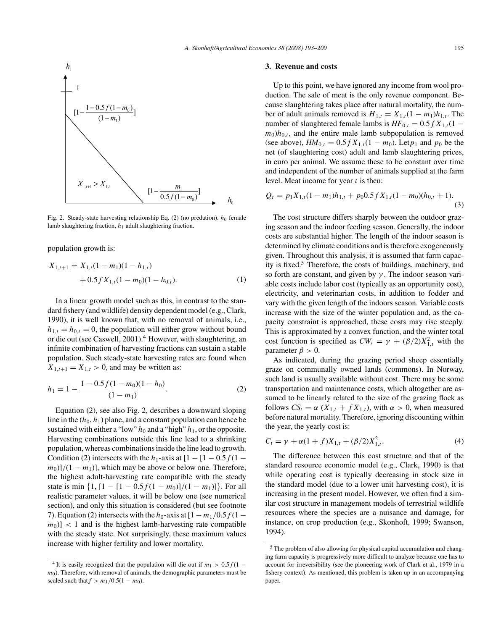

Fig. 2. Steady-state harvesting relationship Eq.  $(2)$  (no predation).  $h_0$  female lamb slaughtering fraction, *h*<sup>1</sup> adult slaughtering fraction.

population growth is:

$$
X_{1,t+1} = X_{1,t}(1 - m_1)(1 - h_{1,t})
$$
  
+ 0.5 f X<sub>1,t</sub>(1 - m<sub>0</sub>)(1 - h<sub>0,t</sub>). (1)

In a linear growth model such as this, in contrast to the standard fishery (and wildlife) density dependent model (e.g., Clark, 1990), it is well known that, with no removal of animals, i.e.,  $h_{1,t} = h_{0,t} = 0$ , the population will either grow without bound or die out (see Caswell, 2001).<sup>4</sup> However, with slaughtering, an infinite combination of harvesting fractions can sustain a stable population. Such steady-state harvesting rates are found when  $X_{1,t+1} = X_{1,t} > 0$ , and may be written as:

$$
h_1 = 1 - \frac{1 - 0.5f(1 - m_0)(1 - h_0)}{(1 - m_1)}.
$$
 (2)

Equation (2), see also Fig. 2, describes a downward sloping line in the  $(h_0, h_1)$  plane, and a constant population can hence be sustained with either a "low"  $h_0$  and a "high"  $h_1$ , or the opposite. Harvesting combinations outside this line lead to a shrinking population, whereas combinations inside the line lead to growth. Condition (2) intersects with the  $h_1$ -axis at  $[1 - [1 - 0.5f(1 (m_0)$ ]/(1 −  $m_1$ )], which may be above or below one. Therefore, the highest adult-harvesting rate compatible with the steady state is min  $\{1, [1 - [1 - 0.5f(1 - m_0)]/(1 - m_1)]\}$ . For all realistic parameter values, it will be below one (see numerical section), and only this situation is considered (but see footnote 7). Equation (2) intersects with the  $h_0$ -axis at  $[1 - m_1/0.5f(1 |m_0|$  < 1 and is the highest lamb-harvesting rate compatible with the steady state. Not surprisingly, these maximum values increase with higher fertility and lower mortality.

#### **3. Revenue and costs**

Up to this point, we have ignored any income from wool production. The sale of meat is the only revenue component. Because slaughtering takes place after natural mortality, the number of adult animals removed is  $H_{1,t} = X_{1,t}(1 - m_1)h_{1,t}$ . The number of slaughtered female lambs is  $HF_{0,t} = 0.5 f X_{1,t} (1$  $m_0$ *h*<sub>0*,t*</sub>, and the entire male lamb subpopulation is removed (see above),  $HM_{0,t} = 0.5 f X_{1,t} (1 - m_0)$ . Let  $p_1$  and  $p_0$  be the net (of slaughtering cost) adult and lamb slaughtering prices, in euro per animal. We assume these to be constant over time and independent of the number of animals supplied at the farm level. Meat income for year *t* is then:

$$
Q_t = p_1 X_{1,t} (1 - m_1) h_{1,t} + p_0 0.5 f X_{1,t} (1 - m_0) (h_{0,t} + 1).
$$
\n(3)

The cost structure differs sharply between the outdoor grazing season and the indoor feeding season. Generally, the indoor costs are substantial higher. The length of the indoor season is determined by climate conditions and is therefore exogeneously given. Throughout this analysis, it is assumed that farm capacity is fixed.<sup>5</sup> Therefore, the costs of buildings, machinery, and so forth are constant, and given by *γ* . The indoor season variable costs include labor cost (typically as an opportunity cost), electricity, and veterinarian costs, in addition to fodder and vary with the given length of the indoors season. Variable costs increase with the size of the winter population and, as the capacity constraint is approached, these costs may rise steeply. This is approximated by a convex function, and the winter total cost function is specified as  $CW_t = \gamma + (\beta/2)X_{1,t}^2$  with the parameter  $\beta > 0$ .

As indicated, during the grazing period sheep essentially graze on communally owned lands (commons). In Norway, such land is usually available without cost. There may be some transportation and maintenance costs, which altogether are assumed to be linearly related to the size of the grazing flock as follows  $CS_t = \alpha (X_{1,t} + f X_{1,t})$ , with  $\alpha > 0$ , when measured before natural mortality. Therefore, ignoring discounting within the year, the yearly cost is:

$$
C_t = \gamma + \alpha (1 + f) X_{1,t} + (\beta/2) X_{1,t}^2.
$$
 (4)

The difference between this cost structure and that of the standard resource economic model (e.g., Clark, 1990) is that while operating cost is typically decreasing in stock size in the standard model (due to a lower unit harvesting cost), it is increasing in the present model. However, we often find a similar cost structure in management models of terrestrial wildlife resources where the species are a nuisance and damage, for instance, on crop production (e.g., Skonhoft, 1999; Swanson, 1994).

<sup>&</sup>lt;sup>4</sup> It is easily recognized that the population will die out if  $m_1 > 0.5 f(1$ *m*<sub>0</sub>). Therefore, with removal of animals, the demographic parameters must be scaled such that  $f > m_1/0.5(1 - m_0)$ .

<sup>5</sup> The problem of also allowing for physical capital accumulation and changing farm capacity is progressively more difficult to analyze because one has to account for irreversibility (see the pioneering work of Clark et al., 1979 in a fishery context). As mentioned, this problem is taken up in an accompanying paper.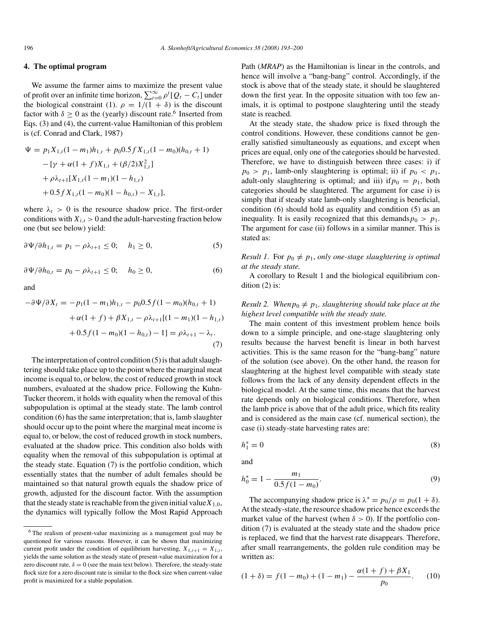#### **4. The optimal program**

We assume the farmer aims to maximize the present value of profit over an infinite time horizon,  $\sum_{t=0}^{\infty} \rho^t [Q_t - C_t]$  under the biological constraint (1).  $\rho = 1/(1 + \delta)$  is the discount factor with  $\delta \ge 0$  as the (yearly) discount rate.<sup>6</sup> Inserted from Eqs. (3) and (4), the current-value Hamiltonian of this problem is (cf. Conrad and Clark, 1987)

$$
\Psi = p_1 X_{1,t} (1 - m_1) h_{1,t} + p_0 0.5 f X_{1,t} (1 - m_0) (h_{0,t} + 1)
$$
  
- 
$$
[\gamma + \alpha (1 + f) X_{1,t} + (\beta / 2) X_{1,t}^2]
$$
  
+ 
$$
\rho \lambda_{t+1} [X_{1,t} (1 - m_1) (1 - h_{1,t})
$$
  
+ 
$$
0.5 f X_{1,t} (1 - m_0) (1 - h_{0,t}) - X_{1,t}],
$$

where  $\lambda_t > 0$  is the resource shadow price. The first-order conditions with  $X_{i,t} > 0$  and the adult-harvesting fraction below one (but see below) yield:

$$
\frac{\partial \Psi}{\partial h_{1,t}} = p_1 - \rho \lambda_{t+1} \le 0; \quad h_1 \ge 0,
$$
\n<sup>(5)</sup>

$$
\frac{\partial \Psi}{\partial h_{0,t}} = p_0 - \rho \lambda_{t+1} \le 0; \quad h_0 \ge 0,
$$
\n<sup>(6)</sup>

and

$$
-\partial \Psi / \partial X_t = -p_1(1 - m_1)h_{1,t} - p_0 0.5f(1 - m_0)(h_{0,t} + 1)
$$
  
+  $\alpha(1 + f) + \beta X_{1,t} - \rho \lambda_{t+1}[(1 - m_1)(1 - h_{1,t})$   
+  $0.5f(1 - m_0)(1 - h_{0,t}) - 1] = \rho \lambda_{t+1} - \lambda_t.$  (7)

The interpretation of control condition (5) is that adult slaughtering should take place up to the point where the marginal meat income is equal to, or below, the cost of reduced growth in stock numbers, evaluated at the shadow price. Following the Kuhn-Tucker theorem, it holds with equality when the removal of this subpopulation is optimal at the steady state. The lamb control condition (6) has the same interpretation; that is, lamb slaughter should occur up to the point where the marginal meat income is equal to, or below, the cost of reduced growth in stock numbers, evaluated at the shadow price. This condition also holds with equality when the removal of this subpopulation is optimal at the steady state. Equation (7) is the portfolio condition, which essentially states that the number of adult females should be maintained so that natural growth equals the shadow price of growth, adjusted for the discount factor. With the assumption that the steady state is reachable from the given initial value  $X_{1,0}$ , the dynamics will typically follow the Most Rapid Approach

Path (*MRAP*) as the Hamiltonian is linear in the controls, and hence will involve a "bang-bang" control. Accordingly, if the stock is above that of the steady state, it should be slaughtered down the first year. In the opposite situation with too few animals, it is optimal to postpone slaughtering until the steady state is reached.

At the steady state, the shadow price is fixed through the control conditions. However, these conditions cannot be generally satisfied simultaneously as equations, and except when prices are equal, only one of the categories should be harvested. Therefore, we have to distinguish between three cases: i) if  $p_0 > p_1$ , lamb-only slaughtering is optimal; ii) if  $p_0 < p_1$ , adult-only slaughtering is optimal; and iii) if  $p_0 = p_1$ , both categories should be slaughtered. The argument for case i) is simply that if steady state lamb-only slaughtering is beneficial, condition (6) should hold as equality and condition (5) as an inequality. It is easily recognized that this demands  $p_0 > p_1$ . The argument for case (ii) follows in a similar manner. This is stated as:

*Result 1.* For  $p_0 \neq p_1$ , *only one-stage slaughtering is optimal at the steady state.*

A corollary to Result 1 and the biological equilibrium condition (2) is:

# *Result 2. When* $p_0 \neq p_1$ *, slaughtering should take place at the highest level compatible with the steady state.*

The main content of this investment problem hence boils down to a simple principle, and one-stage slaughtering only results because the harvest benefit is linear in both harvest activities. This is the same reason for the "bang-bang" nature of the solution (see above). On the other hand, the reason for slaughtering at the highest level compatible with steady state follows from the lack of any density dependent effects in the biological model. At the same time, this means that the harvest rate depends only on biological conditions. Therefore, when the lamb price is above that of the adult price, which fits reality and is considered as the main case (cf. numerical section), the case (i) steady-state harvesting rates are:

$$
h_1^* = 0 \tag{8}
$$

and

$$
h_0^* = 1 - \frac{m_1}{0.5f(1 - m_0)}.\tag{9}
$$

The accompanying shadow price is  $\lambda^* = p_0/\rho = p_0(1 + \delta)$ . At the steady-state, the resource shadow price hence exceeds the market value of the harvest (when  $\delta > 0$ ). If the portfolio condition (7) is evaluated at the steady state and the shadow price is replaced, we find that the harvest rate disappears. Therefore, after small rearrangements, the golden rule condition may be written as:

$$
(1 + \delta) = f(1 - m_0) + (1 - m_1) - \frac{\alpha(1 + f) + \beta X_1}{p_0}.
$$
 (10)

<sup>6</sup> The realism of present-value maximizing as a management goal may be questioned for various reasons. However, it can be shown that maximizing current profit under the condition of equilibrium harvesting,  $X_{1,t+1} = X_{1,t}$ , yields the same solution as the steady state of present-value maximization for a zero discount rate,  $\delta = 0$  (see the main text below). Therefore, the steady-state flock size for a zero discount rate is similar to the flock size when current-value profit is maximized for a stable population.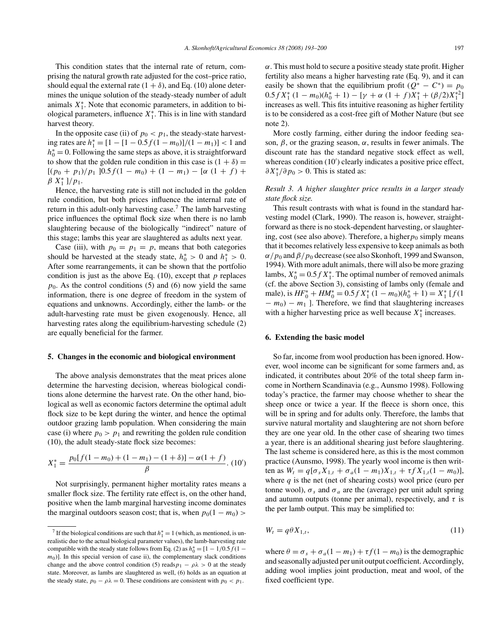This condition states that the internal rate of return, comprising the natural growth rate adjusted for the cost–price ratio, should equal the external rate  $(1 + \delta)$ , and Eq. (10) alone determines the unique solution of the steady-steady number of adult animals  $X_1^*$ . Note that economic parameters, in addition to biological parameters, influence  $X_1^*$ . This is in line with standard harvest theory.

In the opposite case (ii) of  $p_0 < p_1$ , the steady-state harvest- $\frac{1}{n}$  ing rates are  $h_1^* = [1 - [1 - 0.5f(1 - m_0)]/(1 - m_1)]$  < 1 and *h*<sup>∗</sup><sub>0</sub> = 0. Following the same steps as above, it is straightforward to show that the golden rule condition in this case is  $(1 + \delta)$  =  $[(p_0 + p_1)/p_1]$   $[0.5 f(1 - m_0) + (1 - m_1) - [\alpha (1 + f) +$  $\beta X_1^*$  ]/ $p_1$ .

Hence, the harvesting rate is still not included in the golden rule condition, but both prices influence the internal rate of return in this adult-only harvesting case.<sup>7</sup> The lamb harvesting price influences the optimal flock size when there is no lamb slaughtering because of the biologically "indirect" nature of this stage; lambs this year are slaughtered as adults next year.

Case (iii), with  $p_0 = p_1 = p$ , means that both categories should be harvested at the steady state,  $h_0^* > 0$  and  $h_1^* > 0$ . After some rearrangements, it can be shown that the portfolio condition is just as the above Eq. (10), except that *p* replaces  $p_0$ . As the control conditions (5) and (6) now yield the same information, there is one degree of freedom in the system of equations and unknowns. Accordingly, either the lamb- or the adult-harvesting rate must be given exogenously. Hence, all harvesting rates along the equilibrium-harvesting schedule (2) are equally beneficial for the farmer.

#### **5. Changes in the economic and biological environment**

The above analysis demonstrates that the meat prices alone determine the harvesting decision, whereas biological conditions alone determine the harvest rate. On the other hand, biological as well as economic factors determine the optimal adult flock size to be kept during the winter, and hence the optimal outdoor grazing lamb population. When considering the main case (i) where  $p_0 > p_1$  and rewriting the golden rule condition (10), the adult steady-state flock size becomes:

$$
X_1^* = \frac{p_0[f(1 - m_0) + (1 - m_1) - (1 + \delta)] - \alpha(1 + f)}{\beta}.
$$
 (10')

Not surprisingly, permanent higher mortality rates means a smaller flock size. The fertility rate effect is, on the other hand, positive when the lamb marginal harvesting income dominates the marginal outdoors season cost; that is, when  $p_0(1 - m_0)$  >

*α*. This must hold to secure a positive steady state profit. Higher fertility also means a higher harvesting rate (Eq. 9), and it can easily be shown that the equilibrium profit  $(Q^* - C^*) = p_0$  $0.5fX_1^*$   $(1 - m_0)(h_0^* + 1) - [\gamma + \alpha (1 + f)X_1^* + (\beta/2)X_1^{*2}]$ increases as well. This fits intuitive reasoning as higher fertility is to be considered as a cost-free gift of Mother Nature (but see note 2).

More costly farming, either during the indoor feeding season,  $\beta$ , or the grazing season,  $\alpha$ , results in fewer animals. The discount rate has the standard negative stock effect as well, whereas condition (10') clearly indicates a positive price effect, *∂X*<sup>\*</sup><sub>1</sub>/∂*p*<sub>0</sub> > 0. This is stated as:

# *Result 3. A higher slaughter price results in a larger steady state flock size.*

This result contrasts with what is found in the standard harvesting model (Clark, 1990). The reason is, however, straightforward as there is no stock-dependent harvesting, or slaughtering, cost (see also above). Therefore, a higher  $p_0$  simply means that it becomes relatively less expensive to keep animals as both  $\alpha$  /  $p_0$  and  $\beta$  /  $p_0$  decrease (see also Skonhoft, 1999 and Swanson, 1994). With more adult animals, there will also be more grazing lambs,  $X_0^* = 0.5 f X_1^*$ . The optimal number of removed animals (cf. the above Section 3), consisting of lambs only (female and male), is  $HF_0^* + HM_0^* = 0.5 f X_1^* (1 - m_0)(h_0^* + 1) = X_1^* [f(1$  $- m_0$ ) −  $m_1$  ]. Therefore, we find that slaughtering increases with a higher harvesting price as well because  $X_1^*$  increases.

#### **6. Extending the basic model**

So far, income from wool production has been ignored. However, wool income can be significant for some farmers and, as indicated, it contributes about 20% of the total sheep farm income in Northern Scandinavia (e.g., Aunsmo 1998). Following today's practice, the farmer may choose whether to shear the sheep once or twice a year. If the fleece is shorn once, this will be in spring and for adults only. Therefore, the lambs that survive natural mortality and slaughtering are not shorn before they are one year old. In the other case of shearing two times a year, there is an additional shearing just before slaughtering. The last scheme is considered here, as this is the most common practice (Aunsmo, 1998). The yearly wool income is then written as  $W_t = q[\sigma_s X_{1,t} + \sigma_a(1 - m_1)X_{1,t} + \tau f X_{1,t}(1 - m_0)],$ where *q* is the net (net of shearing costs) wool price (euro per tonne wool),  $\sigma_s$  and  $\sigma_a$  are the (average) per unit adult spring and autumn outputs (tonne per animal), respectively, and  $\tau$  is the per lamb output. This may be simplified to:

$$
W_t = q\theta X_{1,t},\tag{11}
$$

where  $\theta = \sigma_s + \sigma_a(1 - m_1) + \tau f(1 - m_0)$  is the demographic and seasonally adjusted per unit output coefficient. Accordingly, adding wool implies joint production, meat and wool, of the fixed coefficient type.

<sup>&</sup>lt;sup>7</sup> If the biological conditions are such that  $h_1^* = 1$  (which, as mentioned, is unrealistic due to the actual biological parameter values), the lamb-harvesting rate compatible with the steady state follows from Eq. (2) as  $h_0^* = [1 - 1/0.5f(1$  $m<sub>0</sub>$ )]. In this special version of case ii), the complementary slack conditions change and the above control condition (5) reads  $p_1 - \rho \lambda > 0$  at the steady state. Moreover, as lambs are slaughtered as well, (6) holds as an equation at the steady state,  $p_0 - \rho \lambda = 0$ . These conditions are consistent with  $p_0 < p_1$ .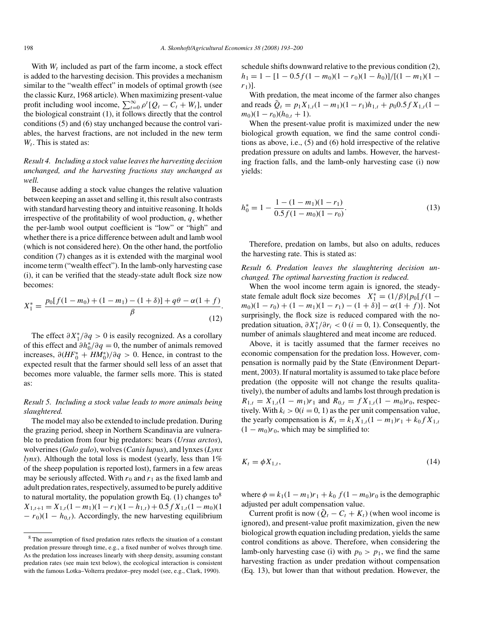With *W<sup>t</sup>* included as part of the farm income, a stock effect is added to the harvesting decision. This provides a mechanism similar to the "wealth effect" in models of optimal growth (see the classic Kurz, 1968 article). When maximizing present-value profit including wool income,  $\sum_{t=0}^{\infty} \rho^{t} [Q_t - C_t + W_t]$ , under the biological constraint (1), it follows directly that the control conditions (5) and (6) stay unchanged because the control variables, the harvest fractions, are not included in the new term  $W_t$ . This is stated as:

# *Result 4. Including a stock value leaves the harvesting decision unchanged, and the harvesting fractions stay unchanged as well.*

Because adding a stock value changes the relative valuation between keeping an asset and selling it, this result also contrasts with standard harvesting theory and intuitive reasoning. It holds irrespective of the profitability of wool production, *q*, whether the per-lamb wool output coefficient is "low" or "high" and whether there is a price difference between adult and lamb wool (which is not considered here). On the other hand, the portfolio condition (7) changes as it is extended with the marginal wool income term ("wealth effect"). In the lamb-only harvesting case (i), it can be verified that the steady-state adult flock size now becomes:

$$
X_1^* = \frac{p_0[f(1-m_0) + (1-m_1) - (1+\delta)] + q\theta - \alpha(1+f)}{\beta}.
$$
\n(12)

The effect *∂X*<sup>∗</sup> <sup>1</sup>*/∂q >* 0 is easily recognized. As a corollary of this effect and  $\partial h_0^*/\partial q = 0$ , the number of animals removed increases,  $\partial (HF_0^* + HM_0^*)/\partial q > 0$ . Hence, in contrast to the expected result that the farmer should sell less of an asset that becomes more valuable, the farmer sells more. This is stated as:

# *Result 5. Including a stock value leads to more animals being slaughtered.*

The model may also be extended to include predation. During the grazing period, sheep in Northern Scandinavia are vulnerable to predation from four big predators: bears (*Ursus arctos*), wolverines (*Gulo gulo*), wolves (*Canis lupus*), and lynxes (*Lynx lynx*). Although the total loss is modest (yearly, less than 1% of the sheep population is reported lost), farmers in a few areas may be seriously affected. With  $r_0$  and  $r_1$  as the fixed lamb and adult predation rates, respectively, assumed to be purely additive to natural mortality, the population growth Eq.  $(1)$  changes to<sup>8</sup>  $X_{1,t+1} = X_{1,t}(1 - m_1)(1 - r_1)(1 - h_{1,t}) + 0.5 f X_{1,t}(1 - m_0)(1$  $- r_0$ )(1 −  $h_{0,t}$ ). Accordingly, the new harvesting equilibrium schedule shifts downward relative to the previous condition (2),  $h_1 = 1 - [1 - 0.5f(1 - m_0)(1 - r_0)(1 - h_0)]/[(1 - m_1)(1$ *r*1)].

With predation, the meat income of the farmer also changes and reads  $\tilde{Q}_t = p_1 X_{1,t} (1 - m_1)(1 - r_1) h_{1,t} + p_0 0.5 f X_{1,t} (1$  $m_0$ )(1 –  $r_0$ )( $h_{0,t}$  + 1).

When the present-value profit is maximized under the new biological growth equation, we find the same control conditions as above, i.e., (5) and (6) hold irrespective of the relative predation pressure on adults and lambs. However, the harvesting fraction falls, and the lamb-only harvesting case (i) now yields:

$$
h_0^* = 1 - \frac{1 - (1 - m_1)(1 - r_1)}{0.5f(1 - m_0)(1 - r_0)}.
$$
\n(13)

Therefore, predation on lambs, but also on adults, reduces the harvesting rate. This is stated as:

*Result 6. Predation leaves the slaughtering decision unchanged. The optimal harvesting fraction is reduced.*

When the wool income term again is ignored, the steadystate female adult flock size becomes  $X_1^* = (1/\beta)\{p_0[f(1 - \beta)]\}$  $(m_0)(1 - r_0) + (1 - m_1)(1 - r_1) - (1 + \delta) - \alpha(1 + f)$ . Not surprisingly, the flock size is reduced compared with the nopredation situation,  $\partial X_1^* / \partial r_i < 0$  (*i* = 0, 1). Consequently, the number of animals slaughtered and meat income are reduced.

Above, it is tacitly assumed that the farmer receives no economic compensation for the predation loss. However, compensation is normally paid by the State (Environment Department, 2003). If natural mortality is assumed to take place before predation (the opposite will not change the results qualitatively), the number of adults and lambs lost through predation is  $R_{1,t} = X_{1,t}(1 - m_1)r_1$  and  $R_{0,t} = fX_{1,t}(1 - m_0)r_0$ , respectively. With  $k_i > 0$  ( $i = 0, 1$ ) as the per unit compensation value, the yearly compensation is  $K_t = k_1 X_{1,t} (1 - m_1) r_1 + k_0 f X_{1,t}$  $(1 - m_0)r_0$ , which may be simplified to:

$$
K_t = \phi X_{1,t},\tag{14}
$$

where  $\phi = k_1(1 - m_1)r_1 + k_0 f(1 - m_0)r_0$  is the demographic adjusted per adult compensation value.

Current profit is now  $(Q_t - C_t + K_t)$  (when wool income is ignored), and present-value profit maximization, given the new biological growth equation including predation, yields the same control conditions as above. Therefore, when considering the lamb-only harvesting case (i) with  $p_0 > p_1$ , we find the same harvesting fraction as under predation without compensation (Eq. 13), but lower than that without predation. However, the

<sup>8</sup> The assumption of fixed predation rates reflects the situation of a constant predation pressure through time, e.g., a fixed number of wolves through time. As the predation loss increases linearly with sheep density, assuming constant predation rates (see main text below), the ecological interaction is consistent with the famous Lotka–Volterra predator–prey model (see, e.g., Clark, 1990).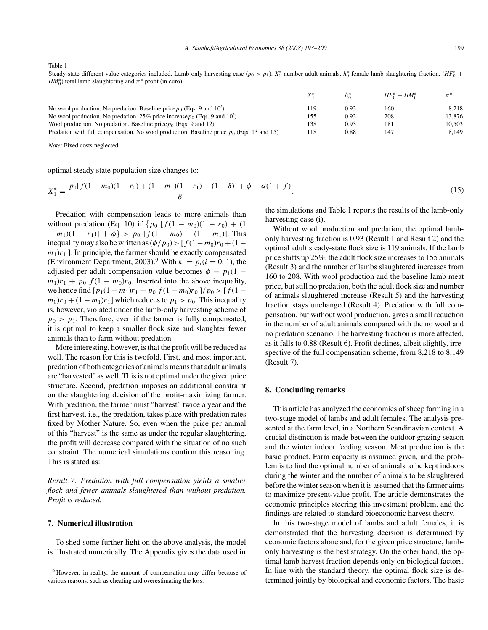Table 1

Steady-state different value categories included. Lamb only harvesting case  $(p_0 > p_1)$ .  $X_1^*$  number adult animals,  $h_0^*$  female lamb slaughtering fraction,  $(HF_0^* + H)$ *HM*<sup>\*</sup><sub>0</sub>) total lamb slaughtering and  $\pi$ <sup>\*</sup> profit (in euro).

|                                                                                             |     | $h_0^*$ | $HF_0^* + HM_0^*$ |        |
|---------------------------------------------------------------------------------------------|-----|---------|-------------------|--------|
| No wool production. No predation. Baseline price $p_0$ (Eqs. 9 and 10')                     | 119 | 0.93    | 160               | 8.218  |
| No wool production. No predation. 25% price increase $p_0$ (Eqs. 9 and 10')                 | 155 | 0.93    | 208               | 13.876 |
| Wool production. No predation. Baseline price $p_0$ (Eqs. 9 and 12)                         | 138 | 0.93    | 181               | 10,503 |
| Predation with full compensation. No wool production. Baseline price $p_0$ (Eqs. 13 and 15) | 118 | 0.88    | 147               | 8.149  |

*Note*: Fixed costs neglected.

optimal steady state population size changes to:

$$
X_1^* = \frac{p_0[f(1 - m_0)(1 - r_0) + (1 - m_1)(1 - r_1) - (1 + \delta)] + \phi - \alpha(1 + f)}{\beta}.
$$
\n(15)

Predation with compensation leads to more animals than without predation (Eq. 10) if  $\{p_0 \left[ f(1 - m_0)(1 - r_0) + (1 - \frac{m_0}{r_0}) \right]$  $-m_1(1 - r_1) + \phi$  >  $p_0$  [ $f(1 - m_0) + (1 - m_1)$ ]. This inequality may also be written as  $(\phi / p_0)$  >  $[f(1 - m_0)r_0 + (1$  $m_1$ ) $r_1$ ]. In principle, the farmer should be exactly compensated (Environment Department, 2003).<sup>9</sup> With  $k_i = p_i(i = 0, 1)$ , the adjusted per adult compensation value becomes  $\phi = p_1(1$  $m_1$ ) $r_1 + p_0$   $f(1 - m_0)r_0$ . Inserted into the above inequality, we hence find  $[p_1(1 - m_1)r_1 + p_0 f(1 - m_0)r_0]/p_0 > [f(1$  $m_0$ ) $r_0$  + (1 –  $m_1$ ) $r_1$ ] which reduces to  $p_1 > p_0$ . This inequality is, however, violated under the lamb-only harvesting scheme of  $p_0 > p_1$ . Therefore, even if the farmer is fully compensated, it is optimal to keep a smaller flock size and slaughter fewer animals than to farm without predation.

More interesting, however, is that the profit will be reduced as well. The reason for this is twofold. First, and most important, predation of both categories of animals means that adult animals are "harvested" as well. This is not optimal under the given price structure. Second, predation imposes an additional constraint on the slaughtering decision of the profit-maximizing farmer. With predation, the farmer must "harvest" twice a year and the first harvest, i.e., the predation, takes place with predation rates fixed by Mother Nature. So, even when the price per animal of this "harvest" is the same as under the regular slaughtering, the profit will decrease compared with the situation of no such constraint. The numerical simulations confirm this reasoning. This is stated as:

*Result 7. Predation with full compensation yields a smaller flock and fewer animals slaughtered than without predation. Profit is reduced.*

## **7. Numerical illustration**

To shed some further light on the above analysis, the model is illustrated numerically. The Appendix gives the data used in

the simulations and Table 1 reports the results of the lamb-only harvesting case (i).

Without wool production and predation, the optimal lambonly harvesting fraction is 0.93 (Result 1 and Result 2) and the optimal adult steady-state flock size is 119 animals. If the lamb price shifts up 25%, the adult flock size increases to 155 animals (Result 3) and the number of lambs slaughtered increases from 160 to 208. With wool production and the baseline lamb meat price, but still no predation, both the adult flock size and number of animals slaughtered increase (Result 5) and the harvesting fraction stays unchanged (Result 4). Predation with full compensation, but without wool production, gives a small reduction in the number of adult animals compared with the no wool and no predation scenario. The harvesting fraction is more affected, as it falls to 0.88 (Result 6). Profit declines, albeit slightly, irrespective of the full compensation scheme, from 8,218 to 8,149 (Result 7).

### **8. Concluding remarks**

This article has analyzed the economics of sheep farming in a two-stage model of lambs and adult females. The analysis presented at the farm level, in a Northern Scandinavian context. A crucial distinction is made between the outdoor grazing season and the winter indoor feeding season. Meat production is the basic product. Farm capacity is assumed given, and the problem is to find the optimal number of animals to be kept indoors during the winter and the number of animals to be slaughtered before the winter season when it is assumed that the farmer aims to maximize present-value profit. The article demonstrates the economic principles steering this investment problem, and the findings are related to standard bioeconomic harvest theory.

In this two-stage model of lambs and adult females, it is demonstrated that the harvesting decision is determined by economic factors alone and, for the given price structure, lambonly harvesting is the best strategy. On the other hand, the optimal lamb harvest fraction depends only on biological factors. In line with the standard theory, the optimal flock size is determined jointly by biological and economic factors. The basic

<sup>&</sup>lt;sup>9</sup> However, in reality, the amount of compensation may differ because of various reasons, such as cheating and overestimating the loss.